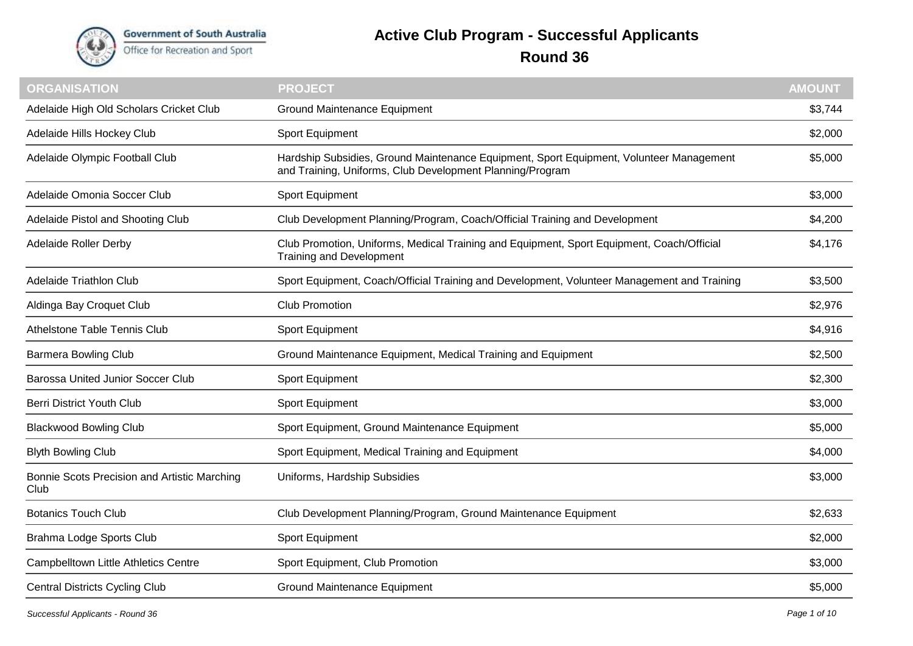

**Government of South Australia** Office for Recreation and Sport

## **Active Club Program - Successful Applicants Round 36**

| <b>ORGANISATION</b>                                  | <b>PROJECT</b>                                                                                                                                       | <b>AMOUNT</b> |
|------------------------------------------------------|------------------------------------------------------------------------------------------------------------------------------------------------------|---------------|
| Adelaide High Old Scholars Cricket Club              | <b>Ground Maintenance Equipment</b>                                                                                                                  | \$3,744       |
| Adelaide Hills Hockey Club                           | Sport Equipment                                                                                                                                      | \$2,000       |
| Adelaide Olympic Football Club                       | Hardship Subsidies, Ground Maintenance Equipment, Sport Equipment, Volunteer Management<br>and Training, Uniforms, Club Development Planning/Program | \$5,000       |
| Adelaide Omonia Soccer Club                          | Sport Equipment                                                                                                                                      | \$3,000       |
| Adelaide Pistol and Shooting Club                    | Club Development Planning/Program, Coach/Official Training and Development                                                                           | \$4,200       |
| <b>Adelaide Roller Derby</b>                         | Club Promotion, Uniforms, Medical Training and Equipment, Sport Equipment, Coach/Official<br><b>Training and Development</b>                         | \$4,176       |
| Adelaide Triathlon Club                              | Sport Equipment, Coach/Official Training and Development, Volunteer Management and Training                                                          | \$3,500       |
| Aldinga Bay Croquet Club                             | <b>Club Promotion</b>                                                                                                                                | \$2,976       |
| Athelstone Table Tennis Club                         | Sport Equipment                                                                                                                                      | \$4,916       |
| <b>Barmera Bowling Club</b>                          | Ground Maintenance Equipment, Medical Training and Equipment                                                                                         | \$2,500       |
| <b>Barossa United Junior Soccer Club</b>             | Sport Equipment                                                                                                                                      | \$2,300       |
| <b>Berri District Youth Club</b>                     | Sport Equipment                                                                                                                                      | \$3,000       |
| <b>Blackwood Bowling Club</b>                        | Sport Equipment, Ground Maintenance Equipment                                                                                                        | \$5,000       |
| <b>Blyth Bowling Club</b>                            | Sport Equipment, Medical Training and Equipment                                                                                                      | \$4,000       |
| Bonnie Scots Precision and Artistic Marching<br>Club | Uniforms, Hardship Subsidies                                                                                                                         | \$3,000       |
| <b>Botanics Touch Club</b>                           | Club Development Planning/Program, Ground Maintenance Equipment                                                                                      | \$2,633       |
| Brahma Lodge Sports Club                             | Sport Equipment                                                                                                                                      | \$2,000       |
| <b>Campbelltown Little Athletics Centre</b>          | Sport Equipment, Club Promotion                                                                                                                      | \$3,000       |
| <b>Central Districts Cycling Club</b>                | Ground Maintenance Equipment                                                                                                                         | \$5,000       |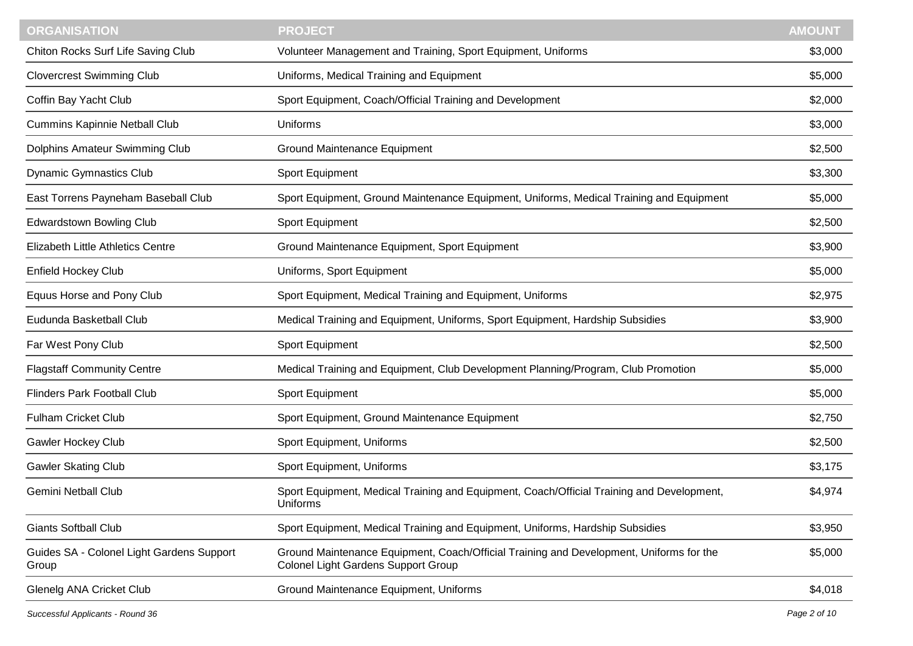| <b>ORGANISATION</b>                                | <b>PROJECT</b>                                                                                                                        | <b>AMOUNT</b> |
|----------------------------------------------------|---------------------------------------------------------------------------------------------------------------------------------------|---------------|
| Chiton Rocks Surf Life Saving Club                 | Volunteer Management and Training, Sport Equipment, Uniforms                                                                          | \$3,000       |
| <b>Clovercrest Swimming Club</b>                   | Uniforms, Medical Training and Equipment                                                                                              | \$5,000       |
| Coffin Bay Yacht Club                              | Sport Equipment, Coach/Official Training and Development                                                                              | \$2,000       |
| <b>Cummins Kapinnie Netball Club</b>               | Uniforms                                                                                                                              | \$3,000       |
| Dolphins Amateur Swimming Club                     | <b>Ground Maintenance Equipment</b>                                                                                                   | \$2,500       |
| <b>Dynamic Gymnastics Club</b>                     | Sport Equipment                                                                                                                       | \$3,300       |
| East Torrens Payneham Baseball Club                | Sport Equipment, Ground Maintenance Equipment, Uniforms, Medical Training and Equipment                                               | \$5,000       |
| <b>Edwardstown Bowling Club</b>                    | Sport Equipment                                                                                                                       | \$2,500       |
| Elizabeth Little Athletics Centre                  | Ground Maintenance Equipment, Sport Equipment                                                                                         | \$3,900       |
| <b>Enfield Hockey Club</b>                         | Uniforms, Sport Equipment                                                                                                             | \$5,000       |
| Equus Horse and Pony Club                          | Sport Equipment, Medical Training and Equipment, Uniforms                                                                             | \$2,975       |
| Eudunda Basketball Club                            | Medical Training and Equipment, Uniforms, Sport Equipment, Hardship Subsidies                                                         | \$3,900       |
| Far West Pony Club                                 | Sport Equipment                                                                                                                       | \$2,500       |
| <b>Flagstaff Community Centre</b>                  | Medical Training and Equipment, Club Development Planning/Program, Club Promotion                                                     | \$5,000       |
| <b>Flinders Park Football Club</b>                 | Sport Equipment                                                                                                                       | \$5,000       |
| <b>Fulham Cricket Club</b>                         | Sport Equipment, Ground Maintenance Equipment                                                                                         | \$2,750       |
| <b>Gawler Hockey Club</b>                          | Sport Equipment, Uniforms                                                                                                             | \$2,500       |
| <b>Gawler Skating Club</b>                         | Sport Equipment, Uniforms                                                                                                             | \$3,175       |
| <b>Gemini Netball Club</b>                         | Sport Equipment, Medical Training and Equipment, Coach/Official Training and Development,<br>Uniforms                                 | \$4,974       |
| <b>Giants Softball Club</b>                        | Sport Equipment, Medical Training and Equipment, Uniforms, Hardship Subsidies                                                         | \$3,950       |
| Guides SA - Colonel Light Gardens Support<br>Group | Ground Maintenance Equipment, Coach/Official Training and Development, Uniforms for the<br><b>Colonel Light Gardens Support Group</b> | \$5,000       |
| Glenelg ANA Cricket Club                           | Ground Maintenance Equipment, Uniforms                                                                                                | \$4,018       |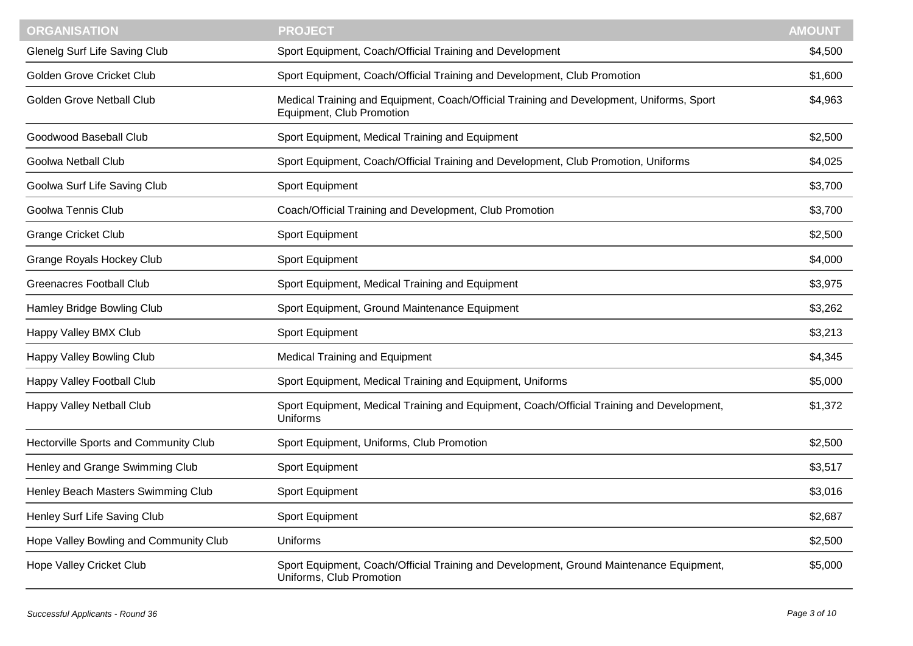| <b>ORGANISATION</b>                    | <b>PROJECT</b>                                                                                                        | <b>AMOUNT</b> |
|----------------------------------------|-----------------------------------------------------------------------------------------------------------------------|---------------|
| Glenelg Surf Life Saving Club          | Sport Equipment, Coach/Official Training and Development                                                              | \$4,500       |
| Golden Grove Cricket Club              | Sport Equipment, Coach/Official Training and Development, Club Promotion                                              | \$1,600       |
| <b>Golden Grove Netball Club</b>       | Medical Training and Equipment, Coach/Official Training and Development, Uniforms, Sport<br>Equipment, Club Promotion | \$4,963       |
| Goodwood Baseball Club                 | Sport Equipment, Medical Training and Equipment                                                                       | \$2,500       |
| <b>Goolwa Netball Club</b>             | Sport Equipment, Coach/Official Training and Development, Club Promotion, Uniforms                                    | \$4,025       |
| Goolwa Surf Life Saving Club           | Sport Equipment                                                                                                       | \$3,700       |
| Goolwa Tennis Club                     | Coach/Official Training and Development, Club Promotion                                                               | \$3,700       |
| <b>Grange Cricket Club</b>             | Sport Equipment                                                                                                       | \$2,500       |
| <b>Grange Royals Hockey Club</b>       | Sport Equipment                                                                                                       | \$4,000       |
| <b>Greenacres Football Club</b>        | Sport Equipment, Medical Training and Equipment                                                                       | \$3,975       |
| Hamley Bridge Bowling Club             | Sport Equipment, Ground Maintenance Equipment                                                                         | \$3,262       |
| Happy Valley BMX Club                  | Sport Equipment                                                                                                       | \$3,213       |
| Happy Valley Bowling Club              | <b>Medical Training and Equipment</b>                                                                                 | \$4,345       |
| Happy Valley Football Club             | Sport Equipment, Medical Training and Equipment, Uniforms                                                             | \$5,000       |
| Happy Valley Netball Club              | Sport Equipment, Medical Training and Equipment, Coach/Official Training and Development,<br>Uniforms                 | \$1,372       |
| Hectorville Sports and Community Club  | Sport Equipment, Uniforms, Club Promotion                                                                             | \$2,500       |
| Henley and Grange Swimming Club        | Sport Equipment                                                                                                       | \$3,517       |
| Henley Beach Masters Swimming Club     | Sport Equipment                                                                                                       | \$3,016       |
| Henley Surf Life Saving Club           | Sport Equipment                                                                                                       | \$2,687       |
| Hope Valley Bowling and Community Club | Uniforms                                                                                                              | \$2,500       |
| Hope Valley Cricket Club               | Sport Equipment, Coach/Official Training and Development, Ground Maintenance Equipment,<br>Uniforms, Club Promotion   | \$5,000       |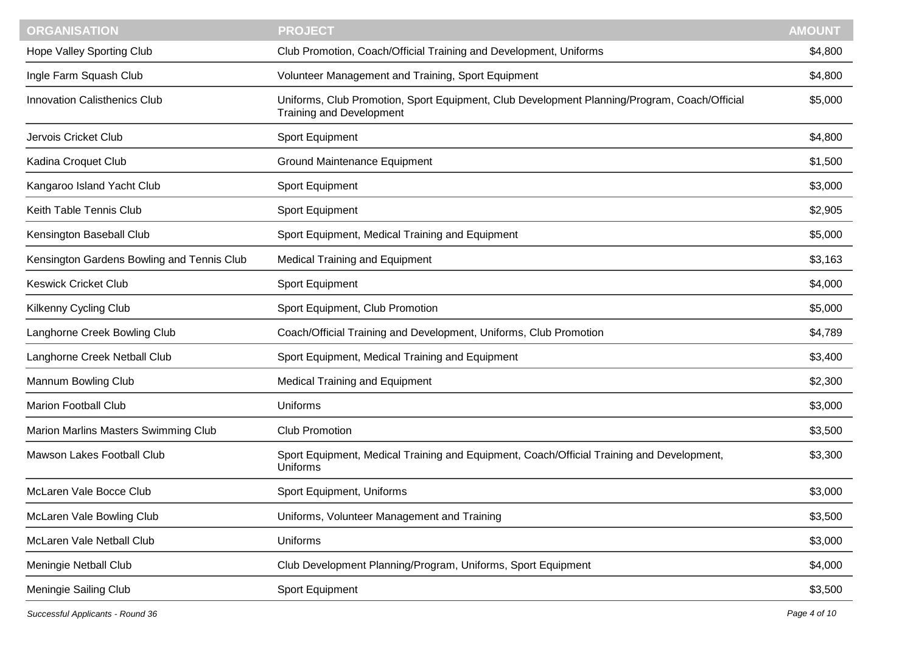| <b>ORGANISATION</b>                        | <b>PROJECT</b>                                                                                                                  | <b>AMOUNT</b> |
|--------------------------------------------|---------------------------------------------------------------------------------------------------------------------------------|---------------|
| Hope Valley Sporting Club                  | Club Promotion, Coach/Official Training and Development, Uniforms                                                               | \$4,800       |
| Ingle Farm Squash Club                     | Volunteer Management and Training, Sport Equipment                                                                              | \$4,800       |
| <b>Innovation Calisthenics Club</b>        | Uniforms, Club Promotion, Sport Equipment, Club Development Planning/Program, Coach/Official<br><b>Training and Development</b> | \$5,000       |
| Jervois Cricket Club                       | Sport Equipment                                                                                                                 | \$4,800       |
| Kadina Croquet Club                        | <b>Ground Maintenance Equipment</b>                                                                                             | \$1,500       |
| Kangaroo Island Yacht Club                 | Sport Equipment                                                                                                                 | \$3,000       |
| Keith Table Tennis Club                    | Sport Equipment                                                                                                                 | \$2,905       |
| Kensington Baseball Club                   | Sport Equipment, Medical Training and Equipment                                                                                 | \$5,000       |
| Kensington Gardens Bowling and Tennis Club | <b>Medical Training and Equipment</b>                                                                                           | \$3,163       |
| <b>Keswick Cricket Club</b>                | Sport Equipment                                                                                                                 | \$4,000       |
| Kilkenny Cycling Club                      | Sport Equipment, Club Promotion                                                                                                 | \$5,000       |
| Langhorne Creek Bowling Club               | Coach/Official Training and Development, Uniforms, Club Promotion                                                               | \$4,789       |
| Langhorne Creek Netball Club               | Sport Equipment, Medical Training and Equipment                                                                                 | \$3,400       |
| Mannum Bowling Club                        | <b>Medical Training and Equipment</b>                                                                                           | \$2,300       |
| <b>Marion Football Club</b>                | Uniforms                                                                                                                        | \$3,000       |
| Marion Marlins Masters Swimming Club       | <b>Club Promotion</b>                                                                                                           | \$3,500       |
| Mawson Lakes Football Club                 | Sport Equipment, Medical Training and Equipment, Coach/Official Training and Development,<br>Uniforms                           | \$3,300       |
| McLaren Vale Bocce Club                    | Sport Equipment, Uniforms                                                                                                       | \$3,000       |
| McLaren Vale Bowling Club                  | Uniforms, Volunteer Management and Training                                                                                     | \$3,500       |
| McLaren Vale Netball Club                  | Uniforms                                                                                                                        | \$3,000       |
| Meningie Netball Club                      | Club Development Planning/Program, Uniforms, Sport Equipment                                                                    | \$4,000       |
| Meningie Sailing Club                      | Sport Equipment                                                                                                                 | \$3,500       |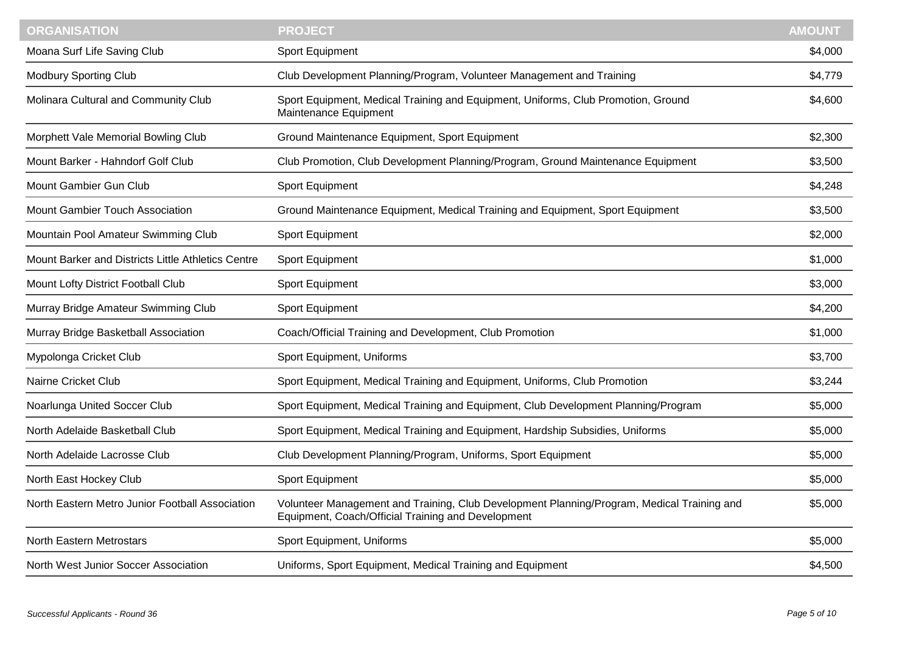| <b>ORGANISATION</b>                                | <b>PROJECT</b>                                                                                                                                   | <b>AMOUNT</b> |
|----------------------------------------------------|--------------------------------------------------------------------------------------------------------------------------------------------------|---------------|
| Moana Surf Life Saving Club                        | Sport Equipment                                                                                                                                  | \$4,000       |
| <b>Modbury Sporting Club</b>                       | Club Development Planning/Program, Volunteer Management and Training                                                                             | \$4,779       |
| Molinara Cultural and Community Club               | Sport Equipment, Medical Training and Equipment, Uniforms, Club Promotion, Ground<br>Maintenance Equipment                                       | \$4,600       |
| Morphett Vale Memorial Bowling Club                | Ground Maintenance Equipment, Sport Equipment                                                                                                    | \$2,300       |
| Mount Barker - Hahndorf Golf Club                  | Club Promotion, Club Development Planning/Program, Ground Maintenance Equipment                                                                  | \$3,500       |
| Mount Gambier Gun Club                             | Sport Equipment                                                                                                                                  | \$4,248       |
| Mount Gambier Touch Association                    | Ground Maintenance Equipment, Medical Training and Equipment, Sport Equipment                                                                    | \$3,500       |
| Mountain Pool Amateur Swimming Club                | Sport Equipment                                                                                                                                  | \$2,000       |
| Mount Barker and Districts Little Athletics Centre | Sport Equipment                                                                                                                                  | \$1,000       |
| Mount Lofty District Football Club                 | Sport Equipment                                                                                                                                  | \$3,000       |
| Murray Bridge Amateur Swimming Club                | Sport Equipment                                                                                                                                  | \$4,200       |
| Murray Bridge Basketball Association               | Coach/Official Training and Development, Club Promotion                                                                                          | \$1,000       |
| Mypolonga Cricket Club                             | Sport Equipment, Uniforms                                                                                                                        | \$3,700       |
| Nairne Cricket Club                                | Sport Equipment, Medical Training and Equipment, Uniforms, Club Promotion                                                                        | \$3,244       |
| Noarlunga United Soccer Club                       | Sport Equipment, Medical Training and Equipment, Club Development Planning/Program                                                               | \$5,000       |
| North Adelaide Basketball Club                     | Sport Equipment, Medical Training and Equipment, Hardship Subsidies, Uniforms                                                                    | \$5,000       |
| North Adelaide Lacrosse Club                       | Club Development Planning/Program, Uniforms, Sport Equipment                                                                                     | \$5,000       |
| North East Hockey Club                             | Sport Equipment                                                                                                                                  | \$5,000       |
| North Eastern Metro Junior Football Association    | Volunteer Management and Training, Club Development Planning/Program, Medical Training and<br>Equipment, Coach/Official Training and Development | \$5,000       |
| <b>North Eastern Metrostars</b>                    | Sport Equipment, Uniforms                                                                                                                        | \$5,000       |
| North West Junior Soccer Association               | Uniforms, Sport Equipment, Medical Training and Equipment                                                                                        | \$4,500       |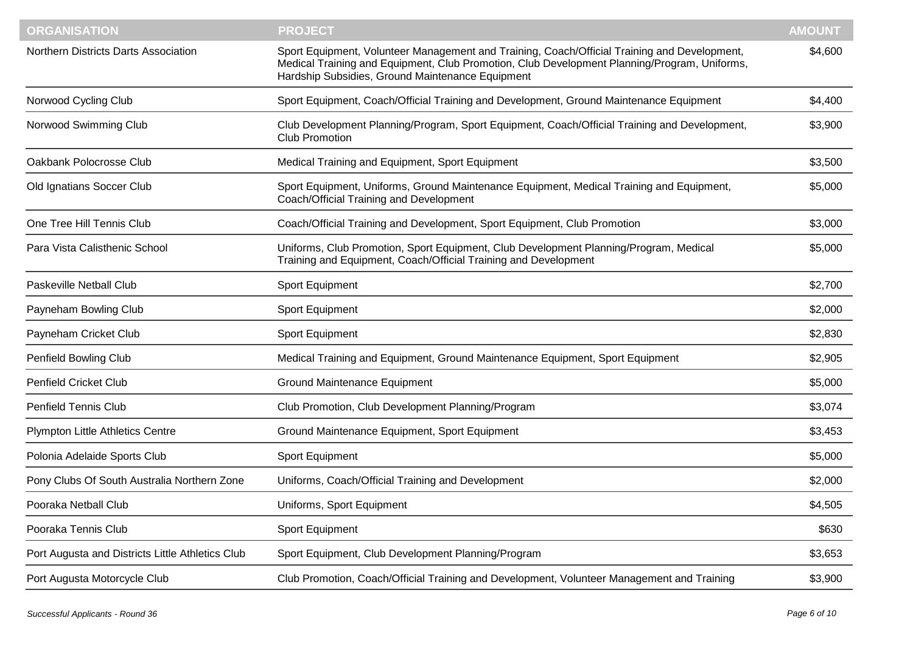| <b>ORGANISATION</b>                              | <b>PROJECT</b>                                                                                                                                                                                                                                   | <b>AMOUNT</b> |
|--------------------------------------------------|--------------------------------------------------------------------------------------------------------------------------------------------------------------------------------------------------------------------------------------------------|---------------|
| <b>Northern Districts Darts Association</b>      | Sport Equipment, Volunteer Management and Training, Coach/Official Training and Development,<br>Medical Training and Equipment, Club Promotion, Club Development Planning/Program, Uniforms,<br>Hardship Subsidies, Ground Maintenance Equipment | \$4,600       |
| Norwood Cycling Club                             | Sport Equipment, Coach/Official Training and Development, Ground Maintenance Equipment                                                                                                                                                           | \$4,400       |
| Norwood Swimming Club                            | Club Development Planning/Program, Sport Equipment, Coach/Official Training and Development,<br>Club Promotion                                                                                                                                   | \$3,900       |
| Oakbank Polocrosse Club                          | Medical Training and Equipment, Sport Equipment                                                                                                                                                                                                  | \$3,500       |
| Old Ignatians Soccer Club                        | Sport Equipment, Uniforms, Ground Maintenance Equipment, Medical Training and Equipment,<br>Coach/Official Training and Development                                                                                                              | \$5,000       |
| One Tree Hill Tennis Club                        | Coach/Official Training and Development, Sport Equipment, Club Promotion                                                                                                                                                                         | \$3,000       |
| Para Vista Calisthenic School                    | Uniforms, Club Promotion, Sport Equipment, Club Development Planning/Program, Medical<br>Training and Equipment, Coach/Official Training and Development                                                                                         | \$5,000       |
| Paskeville Netball Club                          | Sport Equipment                                                                                                                                                                                                                                  | \$2,700       |
| Payneham Bowling Club                            | Sport Equipment                                                                                                                                                                                                                                  | \$2,000       |
| Payneham Cricket Club                            | Sport Equipment                                                                                                                                                                                                                                  | \$2,830       |
| Penfield Bowling Club                            | Medical Training and Equipment, Ground Maintenance Equipment, Sport Equipment                                                                                                                                                                    | \$2,905       |
| <b>Penfield Cricket Club</b>                     | Ground Maintenance Equipment                                                                                                                                                                                                                     | \$5,000       |
| <b>Penfield Tennis Club</b>                      | Club Promotion, Club Development Planning/Program                                                                                                                                                                                                | \$3,074       |
| <b>Plympton Little Athletics Centre</b>          | Ground Maintenance Equipment, Sport Equipment                                                                                                                                                                                                    | \$3,453       |
| Polonia Adelaide Sports Club                     | Sport Equipment                                                                                                                                                                                                                                  | \$5,000       |
| Pony Clubs Of South Australia Northern Zone      | Uniforms, Coach/Official Training and Development                                                                                                                                                                                                | \$2,000       |
| Pooraka Netball Club                             | Uniforms, Sport Equipment                                                                                                                                                                                                                        | \$4,505       |
| Pooraka Tennis Club                              | Sport Equipment                                                                                                                                                                                                                                  | \$630         |
| Port Augusta and Districts Little Athletics Club | Sport Equipment, Club Development Planning/Program                                                                                                                                                                                               | \$3,653       |
| Port Augusta Motorcycle Club                     | Club Promotion, Coach/Official Training and Development, Volunteer Management and Training                                                                                                                                                       | \$3,900       |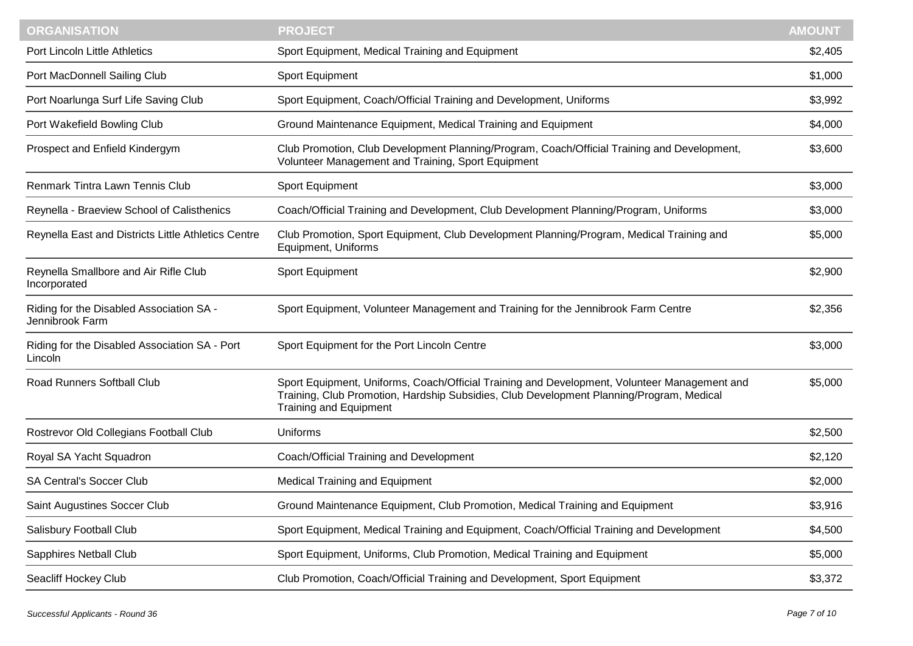| <b>ORGANISATION</b>                                         | <b>PROJECT</b>                                                                                                                                                                                                            | <b>AMOUNT</b> |
|-------------------------------------------------------------|---------------------------------------------------------------------------------------------------------------------------------------------------------------------------------------------------------------------------|---------------|
| Port Lincoln Little Athletics                               | Sport Equipment, Medical Training and Equipment                                                                                                                                                                           | \$2,405       |
| Port MacDonnell Sailing Club                                | Sport Equipment                                                                                                                                                                                                           | \$1,000       |
| Port Noarlunga Surf Life Saving Club                        | Sport Equipment, Coach/Official Training and Development, Uniforms                                                                                                                                                        | \$3,992       |
| Port Wakefield Bowling Club                                 | Ground Maintenance Equipment, Medical Training and Equipment                                                                                                                                                              | \$4,000       |
| Prospect and Enfield Kindergym                              | Club Promotion, Club Development Planning/Program, Coach/Official Training and Development,<br>Volunteer Management and Training, Sport Equipment                                                                         | \$3,600       |
| Renmark Tintra Lawn Tennis Club                             | Sport Equipment                                                                                                                                                                                                           | \$3,000       |
| Reynella - Braeview School of Calisthenics                  | Coach/Official Training and Development, Club Development Planning/Program, Uniforms                                                                                                                                      | \$3,000       |
| Reynella East and Districts Little Athletics Centre         | Club Promotion, Sport Equipment, Club Development Planning/Program, Medical Training and<br>Equipment, Uniforms                                                                                                           | \$5,000       |
| Reynella Smallbore and Air Rifle Club<br>Incorporated       | Sport Equipment                                                                                                                                                                                                           | \$2,900       |
| Riding for the Disabled Association SA -<br>Jennibrook Farm | Sport Equipment, Volunteer Management and Training for the Jennibrook Farm Centre                                                                                                                                         | \$2,356       |
| Riding for the Disabled Association SA - Port<br>Lincoln    | Sport Equipment for the Port Lincoln Centre                                                                                                                                                                               | \$3,000       |
| Road Runners Softball Club                                  | Sport Equipment, Uniforms, Coach/Official Training and Development, Volunteer Management and<br>Training, Club Promotion, Hardship Subsidies, Club Development Planning/Program, Medical<br><b>Training and Equipment</b> | \$5,000       |
| Rostrevor Old Collegians Football Club                      | Uniforms                                                                                                                                                                                                                  | \$2,500       |
| Royal SA Yacht Squadron                                     | Coach/Official Training and Development                                                                                                                                                                                   | \$2,120       |
| <b>SA Central's Soccer Club</b>                             | <b>Medical Training and Equipment</b>                                                                                                                                                                                     | \$2,000       |
| Saint Augustines Soccer Club                                | Ground Maintenance Equipment, Club Promotion, Medical Training and Equipment                                                                                                                                              | \$3,916       |
| Salisbury Football Club                                     | Sport Equipment, Medical Training and Equipment, Coach/Official Training and Development                                                                                                                                  | \$4,500       |
| Sapphires Netball Club                                      | Sport Equipment, Uniforms, Club Promotion, Medical Training and Equipment                                                                                                                                                 | \$5,000       |
| Seacliff Hockey Club                                        | Club Promotion, Coach/Official Training and Development, Sport Equipment                                                                                                                                                  | \$3,372       |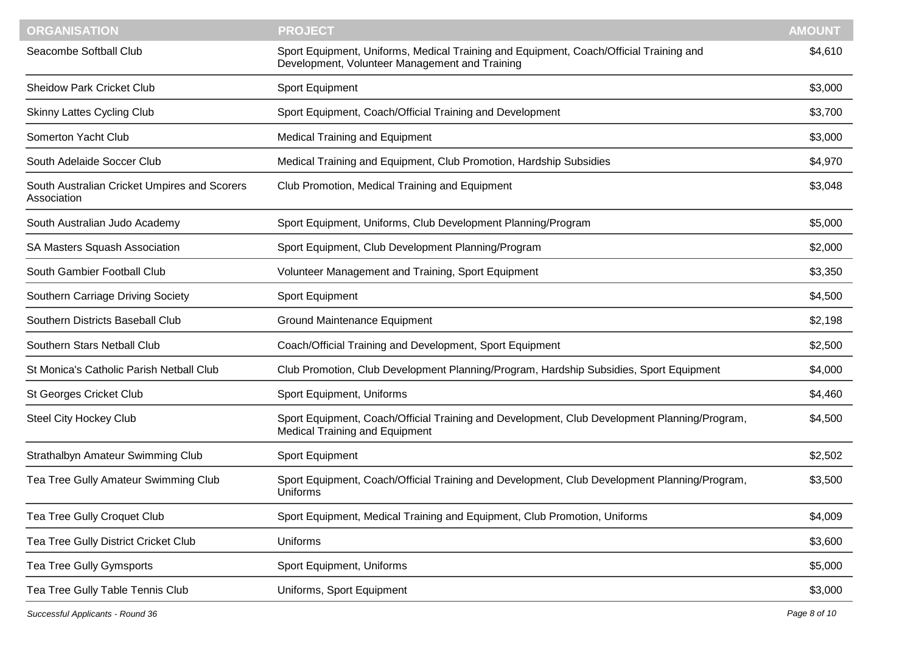| <b>ORGANISATION</b>                                         | <b>PROJECT</b>                                                                                                                           | <b>AMOUNT</b> |
|-------------------------------------------------------------|------------------------------------------------------------------------------------------------------------------------------------------|---------------|
| Seacombe Softball Club                                      | Sport Equipment, Uniforms, Medical Training and Equipment, Coach/Official Training and<br>Development, Volunteer Management and Training | \$4,610       |
| <b>Sheidow Park Cricket Club</b>                            | Sport Equipment                                                                                                                          | \$3,000       |
| <b>Skinny Lattes Cycling Club</b>                           | Sport Equipment, Coach/Official Training and Development                                                                                 | \$3,700       |
| Somerton Yacht Club                                         | <b>Medical Training and Equipment</b>                                                                                                    | \$3,000       |
| South Adelaide Soccer Club                                  | Medical Training and Equipment, Club Promotion, Hardship Subsidies                                                                       | \$4,970       |
| South Australian Cricket Umpires and Scorers<br>Association | Club Promotion, Medical Training and Equipment                                                                                           | \$3,048       |
| South Australian Judo Academy                               | Sport Equipment, Uniforms, Club Development Planning/Program                                                                             | \$5,000       |
| SA Masters Squash Association                               | Sport Equipment, Club Development Planning/Program                                                                                       | \$2,000       |
| South Gambier Football Club                                 | Volunteer Management and Training, Sport Equipment                                                                                       | \$3,350       |
| Southern Carriage Driving Society                           | Sport Equipment                                                                                                                          | \$4,500       |
| Southern Districts Baseball Club                            | <b>Ground Maintenance Equipment</b>                                                                                                      | \$2,198       |
| Southern Stars Netball Club                                 | Coach/Official Training and Development, Sport Equipment                                                                                 | \$2,500       |
| St Monica's Catholic Parish Netball Club                    | Club Promotion, Club Development Planning/Program, Hardship Subsidies, Sport Equipment                                                   | \$4,000       |
| St Georges Cricket Club                                     | Sport Equipment, Uniforms                                                                                                                | \$4,460       |
| <b>Steel City Hockey Club</b>                               | Sport Equipment, Coach/Official Training and Development, Club Development Planning/Program,<br><b>Medical Training and Equipment</b>    | \$4,500       |
| Strathalbyn Amateur Swimming Club                           | Sport Equipment                                                                                                                          | \$2,502       |
| Tea Tree Gully Amateur Swimming Club                        | Sport Equipment, Coach/Official Training and Development, Club Development Planning/Program,<br>Uniforms                                 | \$3,500       |
| Tea Tree Gully Croquet Club                                 | Sport Equipment, Medical Training and Equipment, Club Promotion, Uniforms                                                                | \$4,009       |
| Tea Tree Gully District Cricket Club                        | Uniforms                                                                                                                                 | \$3,600       |
| Tea Tree Gully Gymsports                                    | Sport Equipment, Uniforms                                                                                                                | \$5,000       |
| Tea Tree Gully Table Tennis Club                            | Uniforms, Sport Equipment                                                                                                                | \$3,000       |
|                                                             |                                                                                                                                          |               |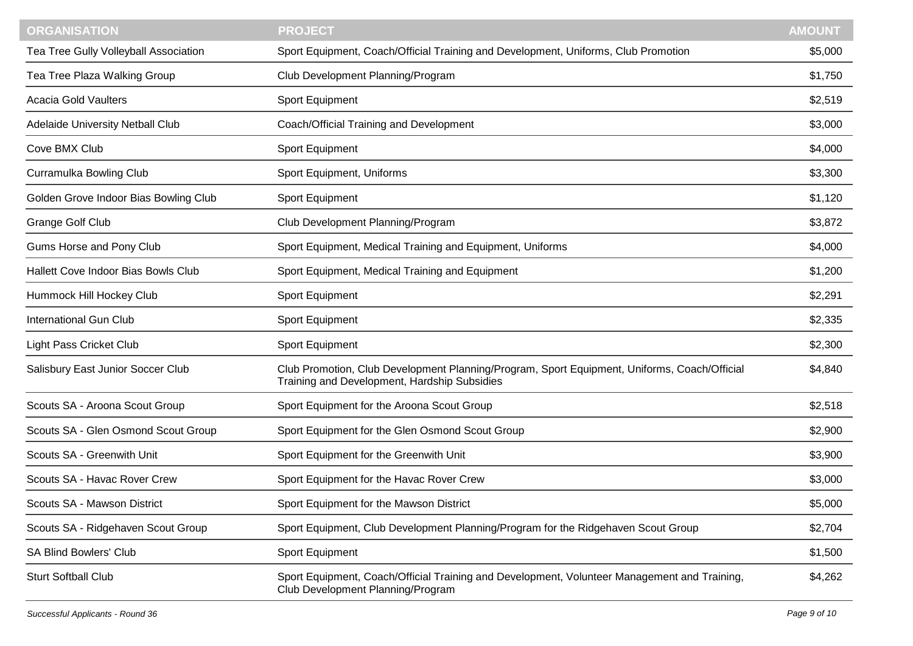| <b>ORGANISATION</b>                   | <b>PROJECT</b>                                                                                                                               | <b>AMOUNT</b> |
|---------------------------------------|----------------------------------------------------------------------------------------------------------------------------------------------|---------------|
| Tea Tree Gully Volleyball Association | Sport Equipment, Coach/Official Training and Development, Uniforms, Club Promotion                                                           | \$5,000       |
| Tea Tree Plaza Walking Group          | Club Development Planning/Program                                                                                                            | \$1,750       |
| <b>Acacia Gold Vaulters</b>           | Sport Equipment                                                                                                                              | \$2,519       |
| Adelaide University Netball Club      | Coach/Official Training and Development                                                                                                      | \$3,000       |
| Cove BMX Club                         | Sport Equipment                                                                                                                              | \$4,000       |
| Curramulka Bowling Club               | Sport Equipment, Uniforms                                                                                                                    | \$3,300       |
| Golden Grove Indoor Bias Bowling Club | Sport Equipment                                                                                                                              | \$1,120       |
| <b>Grange Golf Club</b>               | Club Development Planning/Program                                                                                                            | \$3,872       |
| Gums Horse and Pony Club              | Sport Equipment, Medical Training and Equipment, Uniforms                                                                                    | \$4,000       |
| Hallett Cove Indoor Bias Bowls Club   | Sport Equipment, Medical Training and Equipment                                                                                              | \$1,200       |
| Hummock Hill Hockey Club              | Sport Equipment                                                                                                                              | \$2,291       |
| <b>International Gun Club</b>         | Sport Equipment                                                                                                                              | \$2,335       |
| Light Pass Cricket Club               | Sport Equipment                                                                                                                              | \$2,300       |
| Salisbury East Junior Soccer Club     | Club Promotion, Club Development Planning/Program, Sport Equipment, Uniforms, Coach/Official<br>Training and Development, Hardship Subsidies | \$4,840       |
| Scouts SA - Aroona Scout Group        | Sport Equipment for the Aroona Scout Group                                                                                                   | \$2,518       |
| Scouts SA - Glen Osmond Scout Group   | Sport Equipment for the Glen Osmond Scout Group                                                                                              | \$2,900       |
| Scouts SA - Greenwith Unit            | Sport Equipment for the Greenwith Unit                                                                                                       | \$3,900       |
| Scouts SA - Havac Rover Crew          | Sport Equipment for the Havac Rover Crew                                                                                                     | \$3,000       |
| Scouts SA - Mawson District           | Sport Equipment for the Mawson District                                                                                                      | \$5,000       |
| Scouts SA - Ridgehaven Scout Group    | Sport Equipment, Club Development Planning/Program for the Ridgehaven Scout Group                                                            | \$2,704       |
| <b>SA Blind Bowlers' Club</b>         | Sport Equipment                                                                                                                              | \$1,500       |
| <b>Sturt Softball Club</b>            | Sport Equipment, Coach/Official Training and Development, Volunteer Management and Training,<br>Club Development Planning/Program            | \$4,262       |